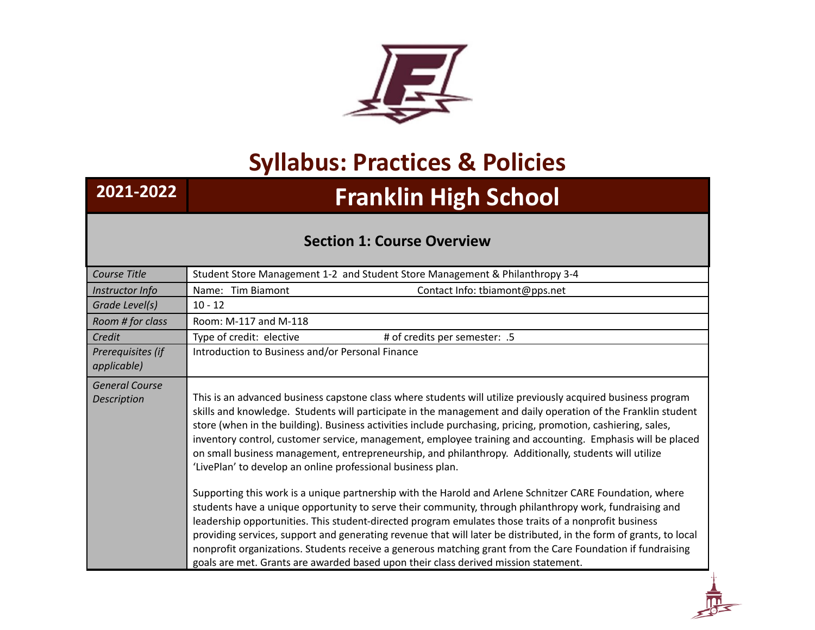

# **Syllabus: Practices & Policies**

# **2021-2022 Franklin High School**

## **Section 1: Course Overview**

| Course Title                                | Student Store Management 1-2 and Student Store Management & Philanthropy 3-4                                                                                                                                                                                                                                                                                                                                                                                                                                                                                                                                                                             |
|---------------------------------------------|----------------------------------------------------------------------------------------------------------------------------------------------------------------------------------------------------------------------------------------------------------------------------------------------------------------------------------------------------------------------------------------------------------------------------------------------------------------------------------------------------------------------------------------------------------------------------------------------------------------------------------------------------------|
| Instructor Info                             | Name: Tim Biamont<br>Contact Info: tbiamont@pps.net                                                                                                                                                                                                                                                                                                                                                                                                                                                                                                                                                                                                      |
| Grade Level(s)                              | $10 - 12$                                                                                                                                                                                                                                                                                                                                                                                                                                                                                                                                                                                                                                                |
| Room # for class                            | Room: M-117 and M-118                                                                                                                                                                                                                                                                                                                                                                                                                                                                                                                                                                                                                                    |
| Credit                                      | Type of credit: elective<br># of credits per semester: .5                                                                                                                                                                                                                                                                                                                                                                                                                                                                                                                                                                                                |
| Prerequisites (if<br>applicable)            | Introduction to Business and/or Personal Finance                                                                                                                                                                                                                                                                                                                                                                                                                                                                                                                                                                                                         |
| <b>General Course</b><br><b>Description</b> | This is an advanced business capstone class where students will utilize previously acquired business program<br>skills and knowledge. Students will participate in the management and daily operation of the Franklin student<br>store (when in the building). Business activities include purchasing, pricing, promotion, cashiering, sales,<br>inventory control, customer service, management, employee training and accounting. Emphasis will be placed<br>on small business management, entrepreneurship, and philanthropy. Additionally, students will utilize<br>'LivePlan' to develop an online professional business plan.                      |
|                                             | Supporting this work is a unique partnership with the Harold and Arlene Schnitzer CARE Foundation, where<br>students have a unique opportunity to serve their community, through philanthropy work, fundraising and<br>leadership opportunities. This student-directed program emulates those traits of a nonprofit business<br>providing services, support and generating revenue that will later be distributed, in the form of grants, to local<br>nonprofit organizations. Students receive a generous matching grant from the Care Foundation if fundraising<br>goals are met. Grants are awarded based upon their class derived mission statement. |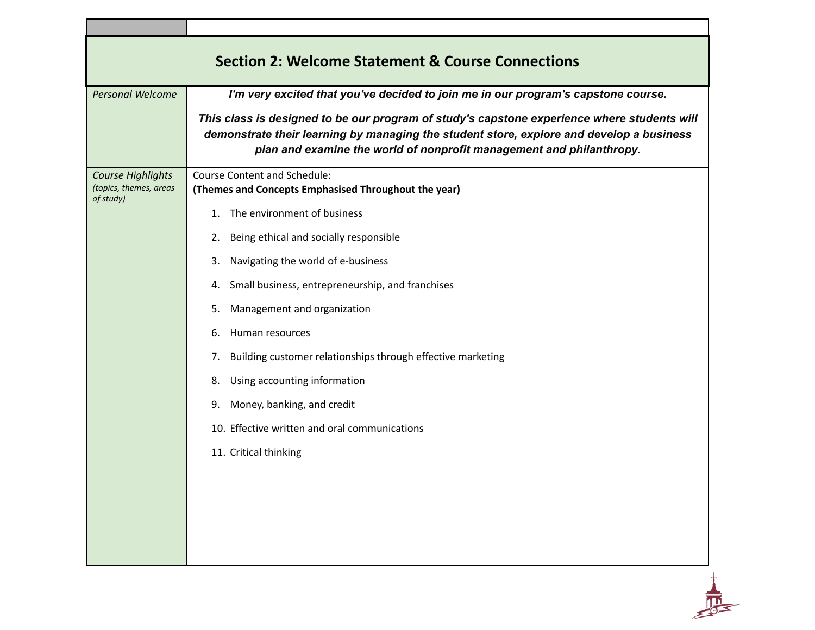| <b>Section 2: Welcome Statement &amp; Course Connections</b>    |                                                                                                                                                                                                                                                                 |  |
|-----------------------------------------------------------------|-----------------------------------------------------------------------------------------------------------------------------------------------------------------------------------------------------------------------------------------------------------------|--|
| <b>Personal Welcome</b>                                         | I'm very excited that you've decided to join me in our program's capstone course.                                                                                                                                                                               |  |
|                                                                 | This class is designed to be our program of study's capstone experience where students will<br>demonstrate their learning by managing the student store, explore and develop a business<br>plan and examine the world of nonprofit management and philanthropy. |  |
| <b>Course Highlights</b><br>(topics, themes, areas<br>of study) | <b>Course Content and Schedule:</b><br>(Themes and Concepts Emphasised Throughout the year)                                                                                                                                                                     |  |
|                                                                 | 1. The environment of business                                                                                                                                                                                                                                  |  |
|                                                                 | Being ethical and socially responsible<br>2.                                                                                                                                                                                                                    |  |
|                                                                 | Navigating the world of e-business<br>3.                                                                                                                                                                                                                        |  |
|                                                                 | Small business, entrepreneurship, and franchises<br>4.                                                                                                                                                                                                          |  |
|                                                                 | Management and organization<br>5.                                                                                                                                                                                                                               |  |
|                                                                 | Human resources<br>6.                                                                                                                                                                                                                                           |  |
|                                                                 | Building customer relationships through effective marketing<br>7.                                                                                                                                                                                               |  |
|                                                                 | Using accounting information<br>8.                                                                                                                                                                                                                              |  |
|                                                                 | Money, banking, and credit<br>9.                                                                                                                                                                                                                                |  |
|                                                                 | 10. Effective written and oral communications                                                                                                                                                                                                                   |  |
|                                                                 | 11. Critical thinking                                                                                                                                                                                                                                           |  |
|                                                                 |                                                                                                                                                                                                                                                                 |  |

٦

 $\frac{1}{\sqrt{2}}$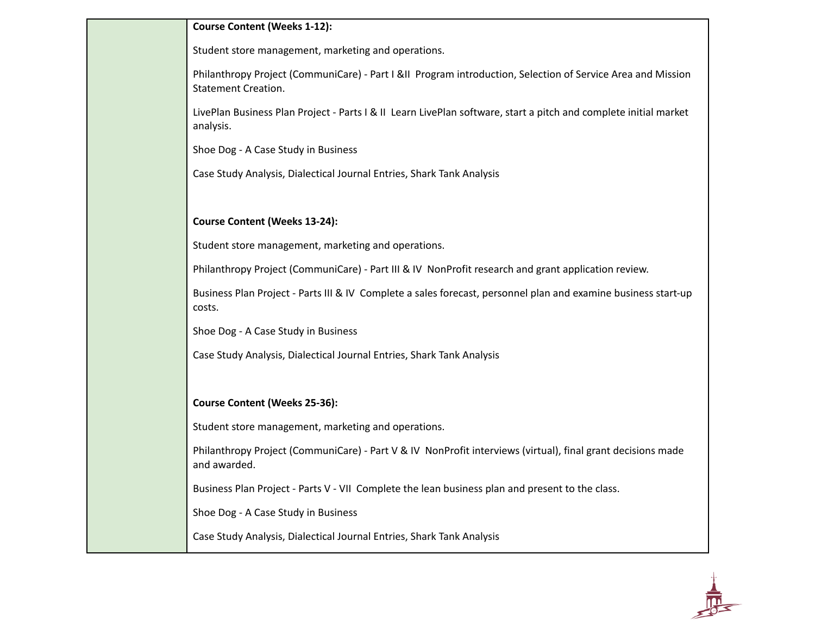#### **Course Content (Weeks 1-12):**

Student store management, marketing and operations.

Philanthropy Project (CommuniCare) - Part I &II Program introduction, Selection of Service Area and Mission Statement Creation.

LivePlan Business Plan Project - Parts I & II Learn LivePlan software, start a pitch and complete initial market analysis.

Shoe Dog - A Case Study in Business

Case Study Analysis, Dialectical Journal Entries, Shark Tank Analysis

### **Course Content (Weeks 13-24):**

Student store management, marketing and operations.

Philanthropy Project (CommuniCare) - Part III & IV NonProfit research and grant application review.

Business Plan Project - Parts III & IV Complete a sales forecast, personnel plan and examine business start-up costs.

Shoe Dog - A Case Study in Business

Case Study Analysis, Dialectical Journal Entries, Shark Tank Analysis

**Course Content (Weeks 25-36):**

Student store management, marketing and operations.

Philanthropy Project (CommuniCare) - Part V & IV NonProfit interviews (virtual), final grant decisions made and awarded.

Business Plan Project - Parts V - VII Complete the lean business plan and present to the class.

Shoe Dog - A Case Study in Business

Case Study Analysis, Dialectical Journal Entries, Shark Tank Analysis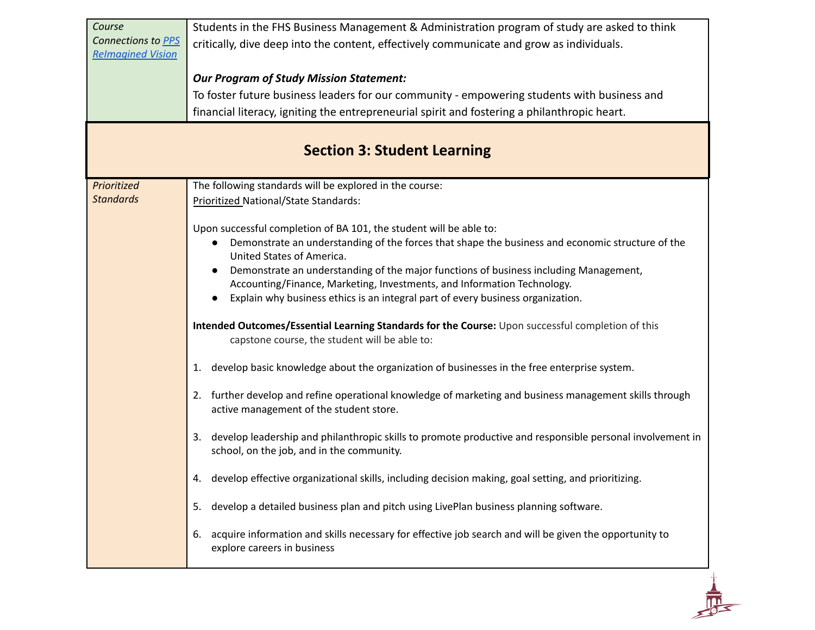| Course                   | Students in the FHS Business Management & Administration program of study are asked to think                                                                 |
|--------------------------|--------------------------------------------------------------------------------------------------------------------------------------------------------------|
| Connections to PPS       | critically, dive deep into the content, effectively communicate and grow as individuals.                                                                     |
| <b>Relmagined Vision</b> |                                                                                                                                                              |
|                          | <b>Our Program of Study Mission Statement:</b>                                                                                                               |
|                          | To foster future business leaders for our community - empowering students with business and                                                                  |
|                          | financial literacy, igniting the entrepreneurial spirit and fostering a philanthropic heart.                                                                 |
|                          | <b>Section 3: Student Learning</b>                                                                                                                           |
| Prioritized              | The following standards will be explored in the course:                                                                                                      |
| <b>Standards</b>         | Prioritized National/State Standards:                                                                                                                        |
|                          |                                                                                                                                                              |
|                          | Upon successful completion of BA 101, the student will be able to:                                                                                           |
|                          | Demonstrate an understanding of the forces that shape the business and economic structure of the<br>United States of America.                                |
|                          | Demonstrate an understanding of the major functions of business including Management,                                                                        |
|                          | Accounting/Finance, Marketing, Investments, and Information Technology.                                                                                      |
|                          | Explain why business ethics is an integral part of every business organization.                                                                              |
|                          | Intended Outcomes/Essential Learning Standards for the Course: Upon successful completion of this<br>capstone course, the student will be able to:           |
|                          | develop basic knowledge about the organization of businesses in the free enterprise system.<br>1.                                                            |
|                          | 2. further develop and refine operational knowledge of marketing and business management skills through<br>active management of the student store.           |
|                          | develop leadership and philanthropic skills to promote productive and responsible personal involvement in<br>3.<br>school, on the job, and in the community. |
|                          | develop effective organizational skills, including decision making, goal setting, and prioritizing<br>4.                                                     |
|                          | develop a detailed business plan and pitch using LivePlan business planning software.<br>5.                                                                  |
|                          | acquire information and skills necessary for effective job search and will be given the opportunity to<br>6.<br>explore careers in business                  |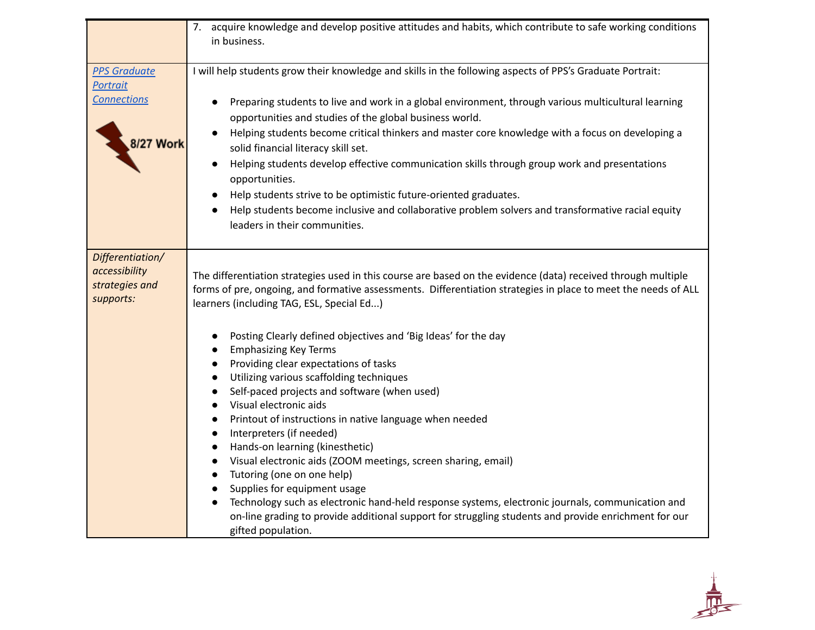|                                                                  | 7. acquire knowledge and develop positive attitudes and habits, which contribute to safe working conditions                                                                                                                                                                                                                                                                                                                                                                                                                                                                                                                                                                                                                                                                                                                                                                                                                       |
|------------------------------------------------------------------|-----------------------------------------------------------------------------------------------------------------------------------------------------------------------------------------------------------------------------------------------------------------------------------------------------------------------------------------------------------------------------------------------------------------------------------------------------------------------------------------------------------------------------------------------------------------------------------------------------------------------------------------------------------------------------------------------------------------------------------------------------------------------------------------------------------------------------------------------------------------------------------------------------------------------------------|
|                                                                  | in business.                                                                                                                                                                                                                                                                                                                                                                                                                                                                                                                                                                                                                                                                                                                                                                                                                                                                                                                      |
| <b>PPS Graduate</b><br><b>Portrait</b>                           | I will help students grow their knowledge and skills in the following aspects of PPS's Graduate Portrait:                                                                                                                                                                                                                                                                                                                                                                                                                                                                                                                                                                                                                                                                                                                                                                                                                         |
| <b>Connections</b>                                               | Preparing students to live and work in a global environment, through various multicultural learning<br>opportunities and studies of the global business world.<br>Helping students become critical thinkers and master core knowledge with a focus on developing a                                                                                                                                                                                                                                                                                                                                                                                                                                                                                                                                                                                                                                                                |
| <b>8/27 Work</b>                                                 | solid financial literacy skill set.                                                                                                                                                                                                                                                                                                                                                                                                                                                                                                                                                                                                                                                                                                                                                                                                                                                                                               |
|                                                                  | Helping students develop effective communication skills through group work and presentations<br>opportunities.                                                                                                                                                                                                                                                                                                                                                                                                                                                                                                                                                                                                                                                                                                                                                                                                                    |
|                                                                  | Help students strive to be optimistic future-oriented graduates.                                                                                                                                                                                                                                                                                                                                                                                                                                                                                                                                                                                                                                                                                                                                                                                                                                                                  |
|                                                                  | Help students become inclusive and collaborative problem solvers and transformative racial equity<br>$\bullet$<br>leaders in their communities.                                                                                                                                                                                                                                                                                                                                                                                                                                                                                                                                                                                                                                                                                                                                                                                   |
|                                                                  |                                                                                                                                                                                                                                                                                                                                                                                                                                                                                                                                                                                                                                                                                                                                                                                                                                                                                                                                   |
| Differentiation/<br>accessibility<br>strategies and<br>supports: | The differentiation strategies used in this course are based on the evidence (data) received through multiple<br>forms of pre, ongoing, and formative assessments. Differentiation strategies in place to meet the needs of ALL<br>learners (including TAG, ESL, Special Ed)                                                                                                                                                                                                                                                                                                                                                                                                                                                                                                                                                                                                                                                      |
|                                                                  | Posting Clearly defined objectives and 'Big Ideas' for the day<br>$\bullet$<br><b>Emphasizing Key Terms</b><br>$\bullet$<br>Providing clear expectations of tasks<br>$\bullet$<br>Utilizing various scaffolding techniques<br>$\bullet$<br>Self-paced projects and software (when used)<br>$\bullet$<br>Visual electronic aids<br>$\bullet$<br>Printout of instructions in native language when needed<br>$\bullet$<br>Interpreters (if needed)<br>$\bullet$<br>Hands-on learning (kinesthetic)<br>$\bullet$<br>Visual electronic aids (ZOOM meetings, screen sharing, email)<br>$\bullet$<br>Tutoring (one on one help)<br>$\bullet$<br>Supplies for equipment usage<br>$\bullet$<br>Technology such as electronic hand-held response systems, electronic journals, communication and<br>$\bullet$<br>on-line grading to provide additional support for struggling students and provide enrichment for our<br>gifted population. |

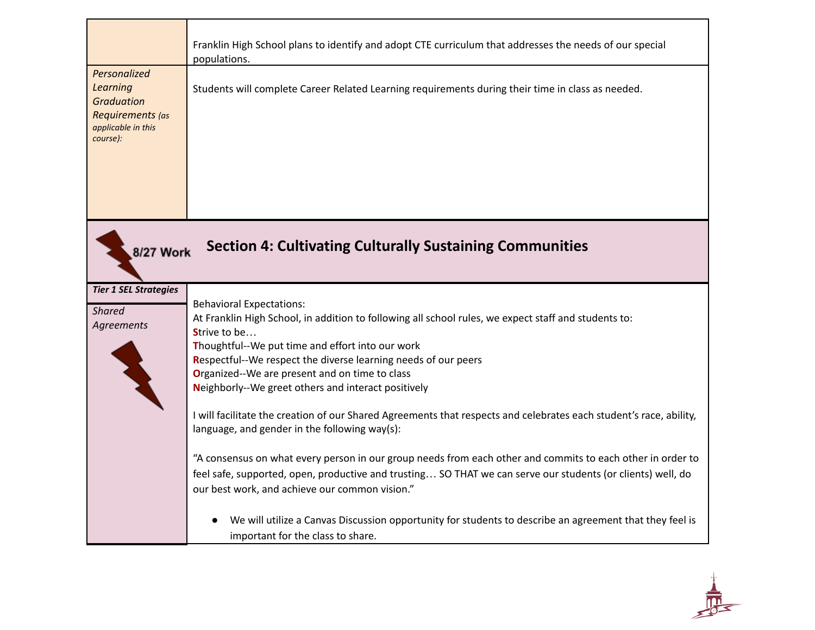|                                                                                                     | Franklin High School plans to identify and adopt CTE curriculum that addresses the needs of our special<br>populations.                                                                                                                                                                                                                                                                                                                                                                                                                                                                                                                                                                                                                                                                                                                      |
|-----------------------------------------------------------------------------------------------------|----------------------------------------------------------------------------------------------------------------------------------------------------------------------------------------------------------------------------------------------------------------------------------------------------------------------------------------------------------------------------------------------------------------------------------------------------------------------------------------------------------------------------------------------------------------------------------------------------------------------------------------------------------------------------------------------------------------------------------------------------------------------------------------------------------------------------------------------|
| Personalized<br>Learning<br><b>Graduation</b><br>Requirements (as<br>applicable in this<br>course): | Students will complete Career Related Learning requirements during their time in class as needed.                                                                                                                                                                                                                                                                                                                                                                                                                                                                                                                                                                                                                                                                                                                                            |
| 8/27 Work                                                                                           | <b>Section 4: Cultivating Culturally Sustaining Communities</b>                                                                                                                                                                                                                                                                                                                                                                                                                                                                                                                                                                                                                                                                                                                                                                              |
| <b>Tier 1 SEL Strategies</b><br><b>Shared</b><br>Agreements                                         | <b>Behavioral Expectations:</b><br>At Franklin High School, in addition to following all school rules, we expect staff and students to:<br>Strive to be<br>Thoughtful--We put time and effort into our work<br>Respectful--We respect the diverse learning needs of our peers<br>Organized--We are present and on time to class<br>Neighborly--We greet others and interact positively<br>I will facilitate the creation of our Shared Agreements that respects and celebrates each student's race, ability,<br>language, and gender in the following way(s):<br>"A consensus on what every person in our group needs from each other and commits to each other in order to<br>feel safe, supported, open, productive and trusting SO THAT we can serve our students (or clients) well, do<br>our best work, and achieve our common vision." |
|                                                                                                     | We will utilize a Canvas Discussion opportunity for students to describe an agreement that they feel is<br>important for the class to share.                                                                                                                                                                                                                                                                                                                                                                                                                                                                                                                                                                                                                                                                                                 |

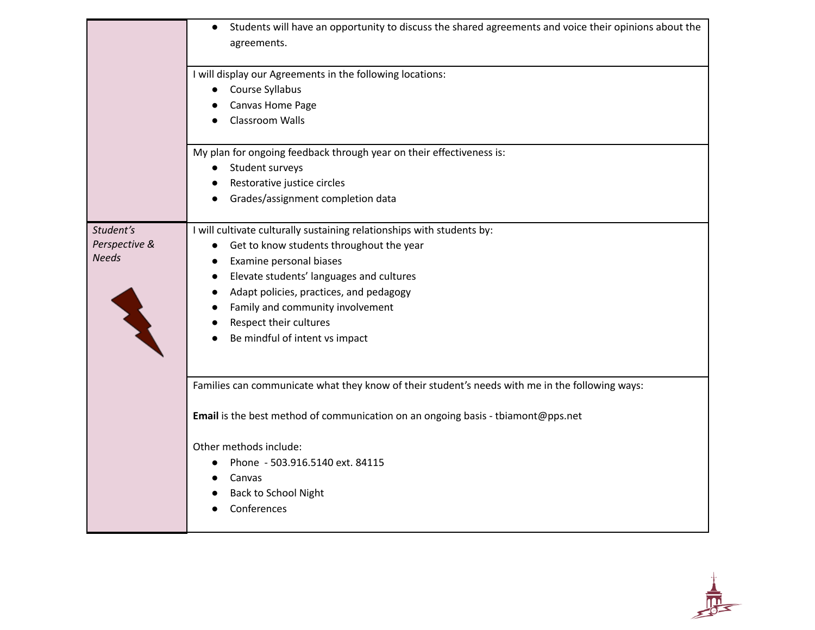|                                            | Students will have an opportunity to discuss the shared agreements and voice their opinions about the                                                                                                                                             |
|--------------------------------------------|---------------------------------------------------------------------------------------------------------------------------------------------------------------------------------------------------------------------------------------------------|
|                                            | agreements.                                                                                                                                                                                                                                       |
|                                            | I will display our Agreements in the following locations:<br>Course Syllabus<br>Canvas Home Page<br>Classroom Walls                                                                                                                               |
|                                            | My plan for ongoing feedback through year on their effectiveness is:                                                                                                                                                                              |
|                                            | Student surveys                                                                                                                                                                                                                                   |
|                                            | Restorative justice circles                                                                                                                                                                                                                       |
|                                            | Grades/assignment completion data                                                                                                                                                                                                                 |
| Student's<br>Perspective &<br><b>Needs</b> | I will cultivate culturally sustaining relationships with students by:<br>Get to know students throughout the year<br>$\bullet$<br>Examine personal biases<br>Elevate students' languages and cultures<br>Adapt policies, practices, and pedagogy |
|                                            | Family and community involvement                                                                                                                                                                                                                  |
|                                            | Respect their cultures<br>Be mindful of intent vs impact                                                                                                                                                                                          |
|                                            | Families can communicate what they know of their student's needs with me in the following ways:                                                                                                                                                   |
|                                            |                                                                                                                                                                                                                                                   |
|                                            | Email is the best method of communication on an ongoing basis - tbiamont@pps.net                                                                                                                                                                  |
|                                            | Other methods include:                                                                                                                                                                                                                            |
|                                            | Phone - 503.916.5140 ext. 84115                                                                                                                                                                                                                   |
|                                            | Canvas                                                                                                                                                                                                                                            |
|                                            | <b>Back to School Night</b><br>Conferences                                                                                                                                                                                                        |
|                                            |                                                                                                                                                                                                                                                   |

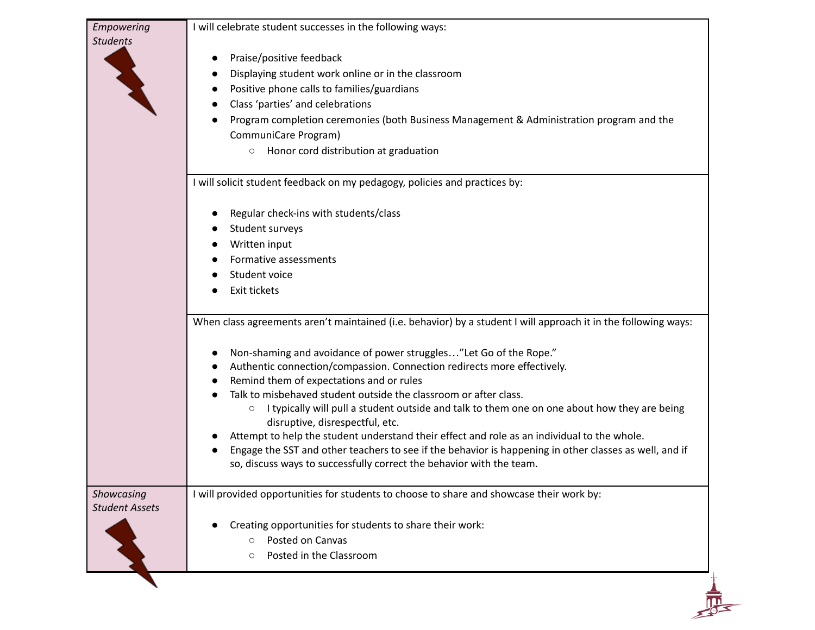| Empowering<br><b>Students</b>       | I will celebrate student successes in the following ways:<br>Praise/positive feedback<br>Displaying student work online or in the classroom<br>Positive phone calls to families/guardians<br>Class 'parties' and celebrations<br>Program completion ceremonies (both Business Management & Administration program and the<br>CommuniCare Program)<br>○ Honor cord distribution at graduation                                                                                                                                                                                                                                                                                                                                                                                                                  |
|-------------------------------------|---------------------------------------------------------------------------------------------------------------------------------------------------------------------------------------------------------------------------------------------------------------------------------------------------------------------------------------------------------------------------------------------------------------------------------------------------------------------------------------------------------------------------------------------------------------------------------------------------------------------------------------------------------------------------------------------------------------------------------------------------------------------------------------------------------------|
|                                     | I will solicit student feedback on my pedagogy, policies and practices by:<br>Regular check-ins with students/class<br>Student surveys<br>Written input<br>Formative assessments<br>Student voice<br>Exit tickets                                                                                                                                                                                                                                                                                                                                                                                                                                                                                                                                                                                             |
|                                     | When class agreements aren't maintained (i.e. behavior) by a student I will approach it in the following ways:<br>Non-shaming and avoidance of power struggles"Let Go of the Rope."<br>Authentic connection/compassion. Connection redirects more effectively.<br>Remind them of expectations and or rules<br>Talk to misbehaved student outside the classroom or after class.<br>I typically will pull a student outside and talk to them one on one about how they are being<br>$\circ$<br>disruptive, disrespectful, etc.<br>Attempt to help the student understand their effect and role as an individual to the whole.<br>Engage the SST and other teachers to see if the behavior is happening in other classes as well, and if<br>so, discuss ways to successfully correct the behavior with the team. |
| Showcasing<br><b>Student Assets</b> | I will provided opportunities for students to choose to share and showcase their work by:<br>Creating opportunities for students to share their work:<br>Posted on Canvas<br>$\circ$<br>Posted in the Classroom<br>О                                                                                                                                                                                                                                                                                                                                                                                                                                                                                                                                                                                          |
|                                     |                                                                                                                                                                                                                                                                                                                                                                                                                                                                                                                                                                                                                                                                                                                                                                                                               |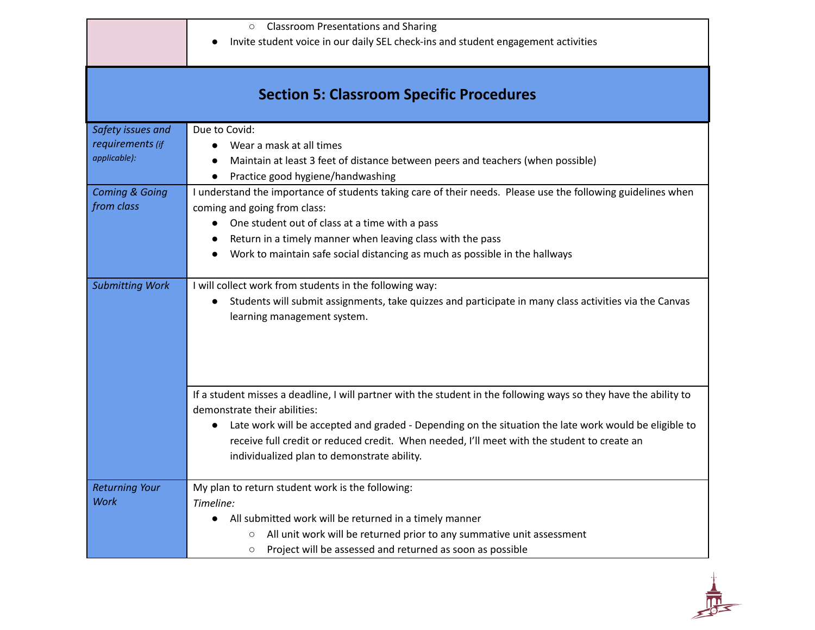○ Classroom Presentations and Sharing

● Invite student voice in our daily SEL check-ins and student engagement activities

## **Section 5: Classroom Specific Procedures**

| Safety issues and         | Due to Covid:                                                                                                       |
|---------------------------|---------------------------------------------------------------------------------------------------------------------|
| requirements (if          | Wear a mask at all times<br>$\bullet$                                                                               |
| applicable):              | Maintain at least 3 feet of distance between peers and teachers (when possible)<br>$\bullet$                        |
|                           | Practice good hygiene/handwashing                                                                                   |
| <b>Coming &amp; Going</b> | I understand the importance of students taking care of their needs. Please use the following guidelines when        |
| from class                | coming and going from class:                                                                                        |
|                           | One student out of class at a time with a pass<br>$\bullet$                                                         |
|                           | Return in a timely manner when leaving class with the pass                                                          |
|                           | Work to maintain safe social distancing as much as possible in the hallways                                         |
|                           |                                                                                                                     |
| <b>Submitting Work</b>    | I will collect work from students in the following way:                                                             |
|                           | Students will submit assignments, take quizzes and participate in many class activities via the Canvas<br>$\bullet$ |
|                           | learning management system.                                                                                         |
|                           |                                                                                                                     |
|                           |                                                                                                                     |
|                           |                                                                                                                     |
|                           |                                                                                                                     |
|                           | If a student misses a deadline, I will partner with the student in the following ways so they have the ability to   |
|                           | demonstrate their abilities:                                                                                        |
|                           | Late work will be accepted and graded - Depending on the situation the late work would be eligible to<br>$\bullet$  |
|                           | receive full credit or reduced credit. When needed, I'll meet with the student to create an                         |
|                           | individualized plan to demonstrate ability.                                                                         |
|                           |                                                                                                                     |
| <b>Returning Your</b>     | My plan to return student work is the following:                                                                    |
| <b>Work</b>               | Timeline:                                                                                                           |
|                           | All submitted work will be returned in a timely manner<br>$\bullet$                                                 |
|                           | All unit work will be returned prior to any summative unit assessment<br>$\circ$                                    |
|                           | Project will be assessed and returned as soon as possible<br>$\circ$                                                |

 $\frac{1}{\sqrt{1-\frac{1}{2}}}$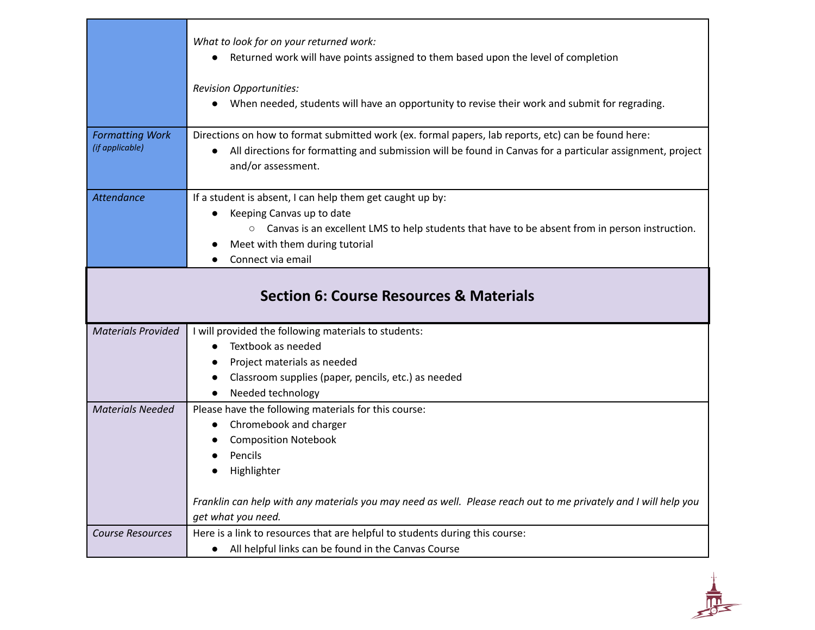|                                                    | What to look for on your returned work:<br>Returned work will have points assigned to them based upon the level of completion<br>$\bullet$                                                                                             |
|----------------------------------------------------|----------------------------------------------------------------------------------------------------------------------------------------------------------------------------------------------------------------------------------------|
|                                                    | <b>Revision Opportunities:</b><br>When needed, students will have an opportunity to revise their work and submit for regrading.                                                                                                        |
| <b>Formatting Work</b><br>(if applicable)          | Directions on how to format submitted work (ex. formal papers, lab reports, etc) can be found here:<br>All directions for formatting and submission will be found in Canvas for a particular assignment, project<br>and/or assessment. |
| <b>Attendance</b>                                  | If a student is absent, I can help them get caught up by:                                                                                                                                                                              |
|                                                    | Keeping Canvas up to date                                                                                                                                                                                                              |
|                                                    | $\circ$ Canvas is an excellent LMS to help students that have to be absent from in person instruction.                                                                                                                                 |
|                                                    | Meet with them during tutorial                                                                                                                                                                                                         |
|                                                    | Connect via email                                                                                                                                                                                                                      |
| <b>Section 6: Course Resources &amp; Materials</b> |                                                                                                                                                                                                                                        |
|                                                    |                                                                                                                                                                                                                                        |
| <b>Materials Provided</b>                          | I will provided the following materials to students:                                                                                                                                                                                   |
|                                                    | Textbook as needed                                                                                                                                                                                                                     |
|                                                    | Project materials as needed                                                                                                                                                                                                            |
|                                                    | Classroom supplies (paper, pencils, etc.) as needed                                                                                                                                                                                    |
|                                                    | Needed technology<br>$\bullet$                                                                                                                                                                                                         |
| <b>Materials Needed</b>                            | Please have the following materials for this course:                                                                                                                                                                                   |
|                                                    | Chromebook and charger                                                                                                                                                                                                                 |
|                                                    | <b>Composition Notebook</b>                                                                                                                                                                                                            |
|                                                    | Pencils<br>Highlighter                                                                                                                                                                                                                 |
|                                                    |                                                                                                                                                                                                                                        |
|                                                    | Franklin can help with any materials you may need as well. Please reach out to me privately and I will help you<br>get what you need.                                                                                                  |
| <b>Course Resources</b>                            | Here is a link to resources that are helpful to students during this course:                                                                                                                                                           |

 $\frac{1}{\sqrt{2}}$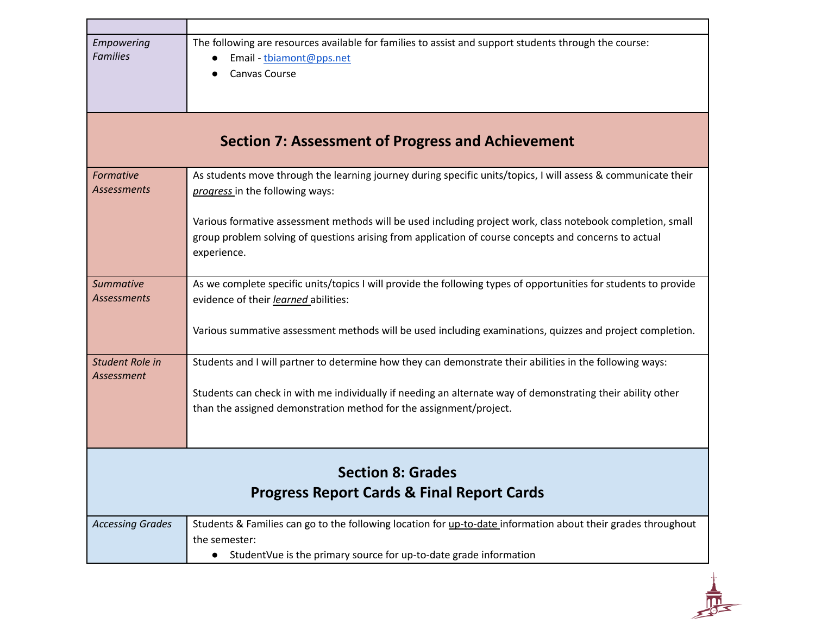| Empowering<br><b>Families</b>                                                     | The following are resources available for families to assist and support students through the course:<br>Email - tbiamont@pps.net<br>Canvas Course                                                                                 |
|-----------------------------------------------------------------------------------|------------------------------------------------------------------------------------------------------------------------------------------------------------------------------------------------------------------------------------|
| <b>Section 7: Assessment of Progress and Achievement</b>                          |                                                                                                                                                                                                                                    |
| Formative<br><b>Assessments</b>                                                   | As students move through the learning journey during specific units/topics, I will assess & communicate their<br>progress in the following ways:                                                                                   |
|                                                                                   | Various formative assessment methods will be used including project work, class notebook completion, small<br>group problem solving of questions arising from application of course concepts and concerns to actual<br>experience. |
| <b>Summative</b><br><b>Assessments</b>                                            | As we complete specific units/topics I will provide the following types of opportunities for students to provide<br>evidence of their learned abilities:                                                                           |
|                                                                                   | Various summative assessment methods will be used including examinations, quizzes and project completion.                                                                                                                          |
| Student Role in<br><b>Assessment</b>                                              | Students and I will partner to determine how they can demonstrate their abilities in the following ways:                                                                                                                           |
|                                                                                   | Students can check in with me individually if needing an alternate way of demonstrating their ability other<br>than the assigned demonstration method for the assignment/project.                                                  |
|                                                                                   |                                                                                                                                                                                                                                    |
| <b>Section 8: Grades</b><br><b>Progress Report Cards &amp; Final Report Cards</b> |                                                                                                                                                                                                                                    |
| <b>Accessing Grades</b>                                                           | Students & Families can go to the following location for up-to-date information about their grades throughout<br>the semester:<br>StudentVue is the primary source for up-to-date grade information<br>$\bullet$                   |